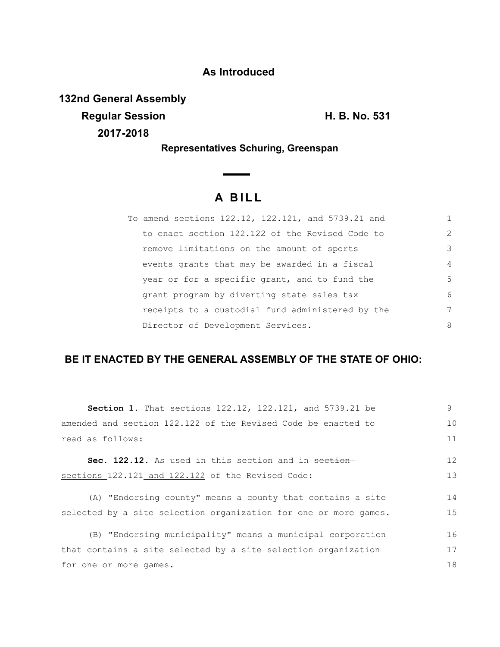### **As Introduced**

**132nd General Assembly**

**2017-2018**

**Regular Session H. B. No. 531**

**Representatives Schuring, Greenspan**

 $\overline{\phantom{0}}$ 

# **A B I L L**

| To amend sections 122.12, 122.121, and 5739.21 and |                |
|----------------------------------------------------|----------------|
| to enact section 122.122 of the Revised Code to    | $\mathcal{L}$  |
| remove limitations on the amount of sports         | 3              |
| events grants that may be awarded in a fiscal      | $\overline{4}$ |
| year or for a specific grant, and to fund the      | 5              |
| grant program by diverting state sales tax         | 6              |
| receipts to a custodial fund administered by the   | 7              |
| Director of Development Services.                  | 8              |

## **BE IT ENACTED BY THE GENERAL ASSEMBLY OF THE STATE OF OHIO:**

| <b>Section 1.</b> That sections 122.12, 122.121, and 5739.21 be  | 9  |  |
|------------------------------------------------------------------|----|--|
| amended and section 122.122 of the Revised Code be enacted to    | 10 |  |
| read as follows:                                                 | 11 |  |
| Sec. 122.12. As used in this section and in section              | 12 |  |
| sections 122.121 and 122.122 of the Revised Code:                | 13 |  |
| (A) "Endorsing county" means a county that contains a site       | 14 |  |
| selected by a site selection organization for one or more games. | 15 |  |
| (B) "Endorsing municipality" means a municipal corporation       | 16 |  |
| that contains a site selected by a site selection organization   | 17 |  |
| for one or more games.                                           |    |  |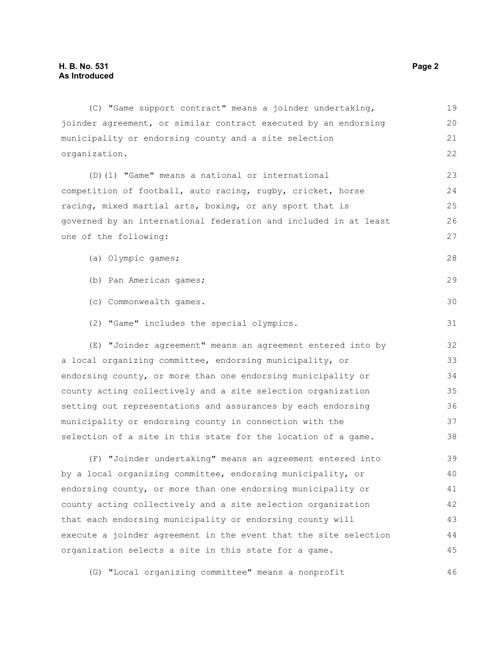(C) "Game support contract" means a joinder undertaking, joinder agreement, or similar contract executed by an endorsing municipality or endorsing county and a site selection organization. (D)(1) "Game" means a national or international competition of football, auto racing, rugby, cricket, horse racing, mixed martial arts, boxing, or any sport that is governed by an international federation and included in at least one of the following: (a) Olympic games; (b) Pan American games; (c) Commonwealth games. (2) "Game" includes the special olympics. (E) "Joinder agreement" means an agreement entered into by a local organizing committee, endorsing municipality, or endorsing county, or more than one endorsing municipality or county acting collectively and a site selection organization setting out representations and assurances by each endorsing municipality or endorsing county in connection with the selection of a site in this state for the location of a game. (F) "Joinder undertaking" means an agreement entered into by a local organizing committee, endorsing municipality, or endorsing county, or more than one endorsing municipality or county acting collectively and a site selection organization that each endorsing municipality or endorsing county will execute a joinder agreement in the event that the site selection 19 20 21 22 23 24 25 26 27 28 29 30 31 32 33 34 35 36 37 38 39 40 41 42 43 44

(G) "Local organizing committee" means a nonprofit 46

organization selects a site in this state for a game.

45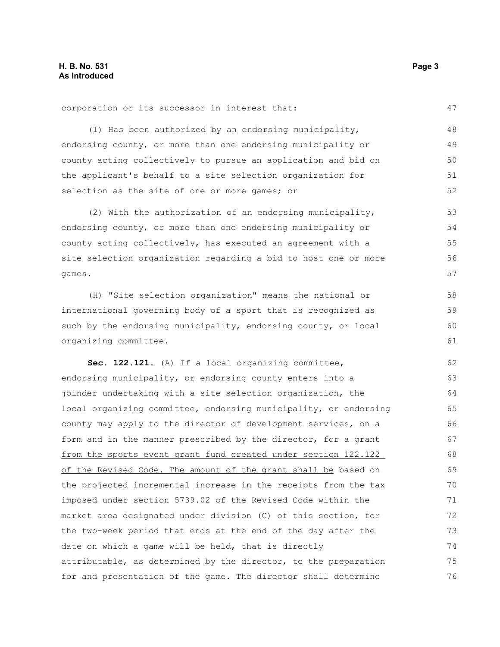corporation or its successor in interest that: (1) Has been authorized by an endorsing municipality, endorsing county, or more than one endorsing municipality or county acting collectively to pursue an application and bid on the applicant's behalf to a site selection organization for selection as the site of one or more games; or (2) With the authorization of an endorsing municipality, endorsing county, or more than one endorsing municipality or 47 48 49 50 51 52 53 54

county acting collectively, has executed an agreement with a site selection organization regarding a bid to host one or more games. 55 56 57

(H) "Site selection organization" means the national or international governing body of a sport that is recognized as such by the endorsing municipality, endorsing county, or local organizing committee.

**Sec. 122.121.** (A) If a local organizing committee, endorsing municipality, or endorsing county enters into a joinder undertaking with a site selection organization, the local organizing committee, endorsing municipality, or endorsing county may apply to the director of development services, on a form and in the manner prescribed by the director, for a grant from the sports event grant fund created under section 122.122 of the Revised Code. The amount of the grant shall be based on the projected incremental increase in the receipts from the tax imposed under section 5739.02 of the Revised Code within the market area designated under division (C) of this section, for the two-week period that ends at the end of the day after the date on which a game will be held, that is directly attributable, as determined by the director, to the preparation for and presentation of the game. The director shall determine 62 63 64 65 66 67 68 69 70 71 72 73 74 75 76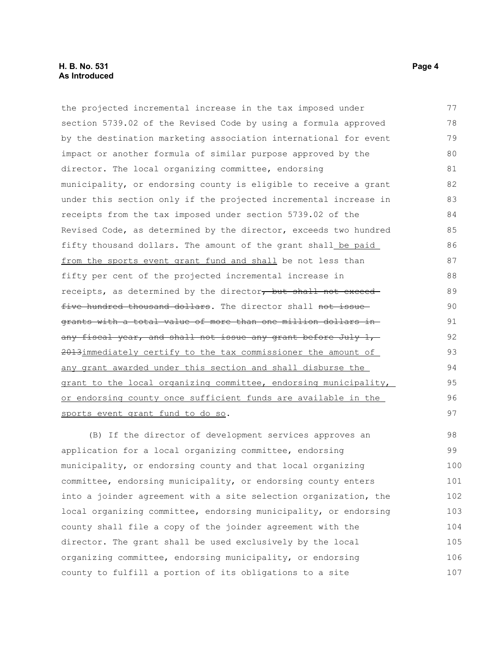#### **H. B. No. 531 Page 4 As Introduced**

the projected incremental increase in the tax imposed under section 5739.02 of the Revised Code by using a formula approved by the destination marketing association international for event impact or another formula of similar purpose approved by the director. The local organizing committee, endorsing municipality, or endorsing county is eligible to receive a grant under this section only if the projected incremental increase in receipts from the tax imposed under section 5739.02 of the Revised Code, as determined by the director, exceeds two hundred fifty thousand dollars. The amount of the grant shall be paid from the sports event grant fund and shall be not less than fifty per cent of the projected incremental increase in receipts, as determined by the director, but shall not exceed five hundred thousand dollars. The director shall not issuegrants with a total value of more than one million dollars in any fiscal year, and shall not issue any grant before July 1, 2013immediately certify to the tax commissioner the amount of any grant awarded under this section and shall disburse the grant to the local organizing committee, endorsing municipality, or endorsing county once sufficient funds are available in the sports event grant fund to do so. (B) If the director of development services approves an application for a local organizing committee, endorsing 77 78 79 80 81 82 83 84 85 86 87 88 89 90 91 92 93 94 95 96 97 98 99

municipality, or endorsing county and that local organizing committee, endorsing municipality, or endorsing county enters into a joinder agreement with a site selection organization, the local organizing committee, endorsing municipality, or endorsing county shall file a copy of the joinder agreement with the director. The grant shall be used exclusively by the local organizing committee, endorsing municipality, or endorsing county to fulfill a portion of its obligations to a site 100 101 102 103 104 105 106 107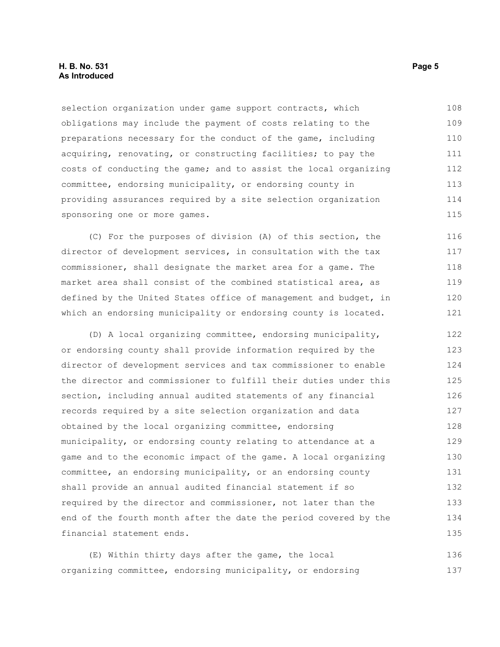#### **H. B. No. 531 Page 5 As Introduced**

selection organization under game support contracts, which obligations may include the payment of costs relating to the preparations necessary for the conduct of the game, including acquiring, renovating, or constructing facilities; to pay the costs of conducting the game; and to assist the local organizing committee, endorsing municipality, or endorsing county in providing assurances required by a site selection organization sponsoring one or more games. 108 109 110 111 112 113 114 115

(C) For the purposes of division (A) of this section, the director of development services, in consultation with the tax commissioner, shall designate the market area for a game. The market area shall consist of the combined statistical area, as defined by the United States office of management and budget, in which an endorsing municipality or endorsing county is located. 116 117 118 119 120 121

(D) A local organizing committee, endorsing municipality, or endorsing county shall provide information required by the director of development services and tax commissioner to enable the director and commissioner to fulfill their duties under this section, including annual audited statements of any financial records required by a site selection organization and data obtained by the local organizing committee, endorsing municipality, or endorsing county relating to attendance at a game and to the economic impact of the game. A local organizing committee, an endorsing municipality, or an endorsing county shall provide an annual audited financial statement if so required by the director and commissioner, not later than the end of the fourth month after the date the period covered by the financial statement ends. 122 123 124 125 126 127 128 129 130 131 132 133 134 135

(E) Within thirty days after the game, the local organizing committee, endorsing municipality, or endorsing 136 137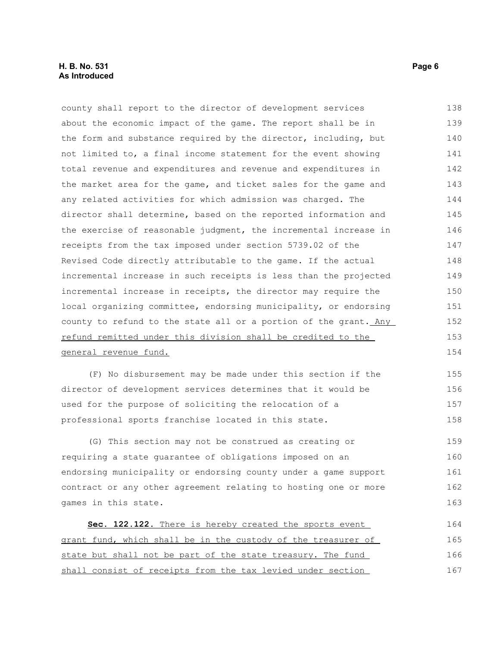#### **H. B. No. 531 Page 6 As Introduced**

county shall report to the director of development services about the economic impact of the game. The report shall be in the form and substance required by the director, including, but not limited to, a final income statement for the event showing total revenue and expenditures and revenue and expenditures in the market area for the game, and ticket sales for the game and any related activities for which admission was charged. The director shall determine, based on the reported information and the exercise of reasonable judgment, the incremental increase in receipts from the tax imposed under section 5739.02 of the Revised Code directly attributable to the game. If the actual incremental increase in such receipts is less than the projected incremental increase in receipts, the director may require the local organizing committee, endorsing municipality, or endorsing county to refund to the state all or a portion of the grant. Any refund remitted under this division shall be credited to the general revenue fund. (F) No disbursement may be made under this section if the 138 139 140 141 142 143 144 145 146 147 148 149 150 151 152 153 154 155

director of development services determines that it would be used for the purpose of soliciting the relocation of a professional sports franchise located in this state. 156 157 158

(G) This section may not be construed as creating or requiring a state guarantee of obligations imposed on an endorsing municipality or endorsing county under a game support contract or any other agreement relating to hosting one or more games in this state. 159 160 161 162 163

 **Sec. 122.122.** There is hereby created the sports event grant fund, which shall be in the custody of the treasurer of state but shall not be part of the state treasury. The fund shall consist of receipts from the tax levied under section 164 165 166 167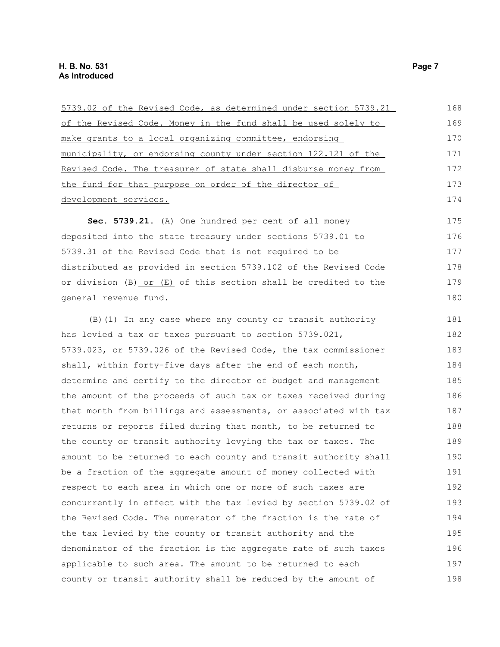| 5739.02 of the Revised Code, as determined under section 5739.21 | 168 |
|------------------------------------------------------------------|-----|
| of the Revised Code. Money in the fund shall be used solely to   | 169 |
| make grants to a local organizing committee, endorsing           | 170 |
| municipality, or endorsing county under section 122.121 of the   | 171 |
| Revised Code. The treasurer of state shall disburse money from   | 172 |
| the fund for that purpose on order of the director of            | 173 |
| development services.                                            | 174 |
| Sec. 5739.21. (A) One hundred per cent of all money              | 175 |
| deposited into the state treasury under sections 5739.01 to      | 176 |
| 5739.31 of the Revised Code that is not required to be           | 177 |
| distributed as provided in section 5739.102 of the Revised Code  | 178 |
| or division (B) or (E) of this section shall be credited to the  | 179 |
| general revenue fund.                                            | 180 |
| (B) (1) In any case where any county or transit authority        | 181 |
| has levied a tax or taxes pursuant to section 5739.021,          | 182 |
| 5739.023, or 5739.026 of the Revised Code, the tax commissioner  | 183 |
| shall, within forty-five days after the end of each month,       | 184 |
| determine and certify to the director of budget and management   | 185 |
| the amount of the proceeds of such tax or taxes received during  | 186 |
| that month from billings and assessments, or associated with tax | 187 |
| returns or reports filed during that month, to be returned to    | 188 |
| the county or transit authority levying the tax or taxes. The    | 189 |
| amount to be returned to each county and transit authority shall | 190 |
| be a fraction of the aggregate amount of money collected with    | 191 |
| respect to each area in which one or more of such taxes are      | 192 |
| concurrently in effect with the tax levied by section 5739.02 of | 193 |
| the Revised Code. The numerator of the fraction is the rate of   | 194 |
| the tax levied by the county or transit authority and the        | 195 |
| denominator of the fraction is the aggregate rate of such taxes  | 196 |
| applicable to such area. The amount to be returned to each       | 197 |
| county or transit authority shall be reduced by the amount of    | 198 |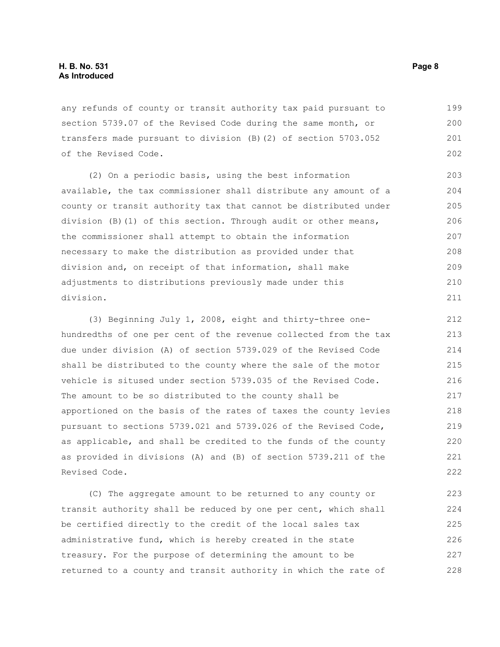#### **H. B. No. 531 Page 8 As Introduced**

any refunds of county or transit authority tax paid pursuant to section 5739.07 of the Revised Code during the same month, or transfers made pursuant to division (B)(2) of section 5703.052 of the Revised Code. 199 200 201 202

(2) On a periodic basis, using the best information available, the tax commissioner shall distribute any amount of a county or transit authority tax that cannot be distributed under division (B)(1) of this section. Through audit or other means, the commissioner shall attempt to obtain the information necessary to make the distribution as provided under that division and, on receipt of that information, shall make adjustments to distributions previously made under this division. 203 204 205 206 207 208 209 210 211

(3) Beginning July 1, 2008, eight and thirty-three onehundredths of one per cent of the revenue collected from the tax due under division (A) of section 5739.029 of the Revised Code shall be distributed to the county where the sale of the motor vehicle is sitused under section 5739.035 of the Revised Code. The amount to be so distributed to the county shall be apportioned on the basis of the rates of taxes the county levies pursuant to sections 5739.021 and 5739.026 of the Revised Code, as applicable, and shall be credited to the funds of the county as provided in divisions (A) and (B) of section 5739.211 of the Revised Code.

(C) The aggregate amount to be returned to any county or transit authority shall be reduced by one per cent, which shall be certified directly to the credit of the local sales tax administrative fund, which is hereby created in the state treasury. For the purpose of determining the amount to be returned to a county and transit authority in which the rate of 223 224 225 226 227 228